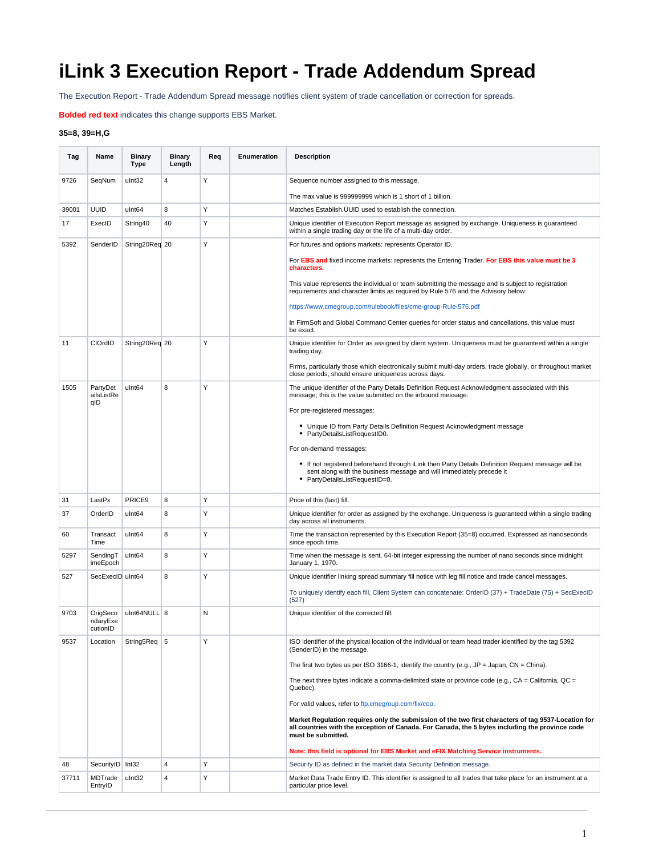## **iLink 3 Execution Report - Trade Addendum Spread**

The Execution Report - Trade Addendum Spread message notifies client system of trade cancellation or correction for spreads.

**Bolded red text** indicates this change supports EBS Market.

## **35=8, 39=H,G**

| Tag   | Name                             | <b>Binary</b><br>Type | <b>Binary</b><br>Length | Req | Enumeration | <b>Description</b>                                                                                                                                                                                                           |
|-------|----------------------------------|-----------------------|-------------------------|-----|-------------|------------------------------------------------------------------------------------------------------------------------------------------------------------------------------------------------------------------------------|
| 9726  | SeqNum                           | ulnt32                | $\overline{4}$          | Y   |             | Sequence number assigned to this message.                                                                                                                                                                                    |
|       |                                  |                       |                         |     |             | The max value is 999999999 which is 1 short of 1 billion.                                                                                                                                                                    |
| 39001 | <b>UUID</b>                      | ulnt64                | 8                       | Y   |             | Matches Establish. UUID used to establish the connection.                                                                                                                                                                    |
| 17    | ExecID                           | String40              | 40                      | Υ   |             | Unique identifier of Execution Report message as assigned by exchange. Uniqueness is guaranteed<br>within a single trading day or the life of a multi-day order.                                                             |
| 5392  | SenderID                         | String20Req 20        |                         | Y   |             | For futures and options markets: represents Operator ID.                                                                                                                                                                     |
|       |                                  |                       |                         |     |             | For EBS and fixed income markets: represents the Entering Trader. For EBS this value must be 3<br>characters.                                                                                                                |
|       |                                  |                       |                         |     |             | This value represents the individual or team submitting the message and is subject to registration<br>requirements and character limits as required by Rule 576 and the Advisory below:                                      |
|       |                                  |                       |                         |     |             | https://www.cmegroup.com/rulebook/files/cme-group-Rule-576.pdf                                                                                                                                                               |
|       |                                  |                       |                         |     |             | In FirmSoft and Global Command Center queries for order status and cancellations, this value must<br>be exact.                                                                                                               |
| 11    | CIOrdID                          | String20Req 20        |                         | Υ   |             | Unique identifier for Order as assigned by client system. Uniqueness must be guaranteed within a single<br>trading day.                                                                                                      |
|       |                                  |                       |                         |     |             | Firms, particularly those which electronically submit multi-day orders, trade globally, or throughout market<br>close periods, should ensure uniqueness across days.                                                         |
| 1505  | PartyDet<br>ailsListRe<br>qID    | ulnt64                | 8                       | Υ   |             | The unique identifier of the Party Details Definition Request Acknowledgment associated with this<br>message; this is the value submitted on the inbound message.                                                            |
|       |                                  |                       |                         |     |             | For pre-registered messages:                                                                                                                                                                                                 |
|       |                                  |                       |                         |     |             | • Unique ID from Party Details Definition Request Acknowledgment message<br>• PartyDetailsListRequestID0.                                                                                                                    |
|       |                                  |                       |                         |     |             | For on-demand messages:                                                                                                                                                                                                      |
|       |                                  |                       |                         |     |             | • If not registered beforehand through iLink then Party Details Definition Request message will be<br>sent along with the business message and will immediately precede it<br>• PartyDetailsListRequestID=0.                 |
| 31    | LastPx                           | PRICE9                | 8                       | Y   |             | Price of this (last) fill.                                                                                                                                                                                                   |
| 37    | OrderID                          | ulnt64                | 8                       | Υ   |             | Unique identifier for order as assigned by the exchange. Uniqueness is guaranteed within a single trading<br>day across all instruments.                                                                                     |
| 60    | Transact<br>Time                 | ulnt64                | 8                       | Υ   |             | Time the transaction represented by this Execution Report (35=8) occurred. Expressed as nanoseconds<br>since epoch time.                                                                                                     |
| 5297  | SendingT<br>imeEpoch             | ulnt64                | 8                       | Y   |             | Time when the message is sent. 64-bit integer expressing the number of nano seconds since midnight<br>January 1, 1970.                                                                                                       |
| 527   | SecExecID uInt64                 |                       | 8                       | Y   |             | Unique identifier linking spread summary fill notice with leg fill notice and trade cancel messages.                                                                                                                         |
|       |                                  |                       |                         |     |             | To uniquely identify each fill, Client System can concatenate: OrderID (37) + TradeDate (75) + SecExecID<br>(527)                                                                                                            |
| 9703  | OrigSeco<br>ndaryExe<br>cutionID | ulnt64NULL 8          |                         | N   |             | Unique identifier of the corrected fill.                                                                                                                                                                                     |
| 9537  | Location                         | String5Req 5          |                         | Y   |             | ISO identifier of the physical location of the individual or team head trader identified by the tag 5392<br>(SenderID) in the message.                                                                                       |
|       |                                  |                       |                         |     |             | The first two bytes as per ISO 3166-1, identify the country (e.g., $JP =$ Japan, $CN =$ China).                                                                                                                              |
|       |                                  |                       |                         |     |             | The next three bytes indicate a comma-delimited state or province code (e.g., $CA = California$ , $QC =$<br>Quebec).                                                                                                         |
|       |                                  |                       |                         |     |             | For valid values, refer to ftp.cmegroup.com/fix/coo.                                                                                                                                                                         |
|       |                                  |                       |                         |     |             | Market Regulation requires only the submission of the two first characters of tag 9537-Location for<br>all countries with the exception of Canada. For Canada, the 5 bytes including the province code<br>must be submitted. |
|       |                                  |                       |                         |     |             | Note: this field is optional for EBS Market and eFIX Matching Service instruments.                                                                                                                                           |
| 48    | SecurityID Int32                 |                       | 4                       | Y   |             | Security ID as defined in the market data Security Definition message.                                                                                                                                                       |
| 37711 | MDTrade<br>EntryID               | ulnt32                | 4                       | Υ   |             | Market Data Trade Entry ID. This identifier is assigned to all trades that take place for an instrument at a<br>particular price level.                                                                                      |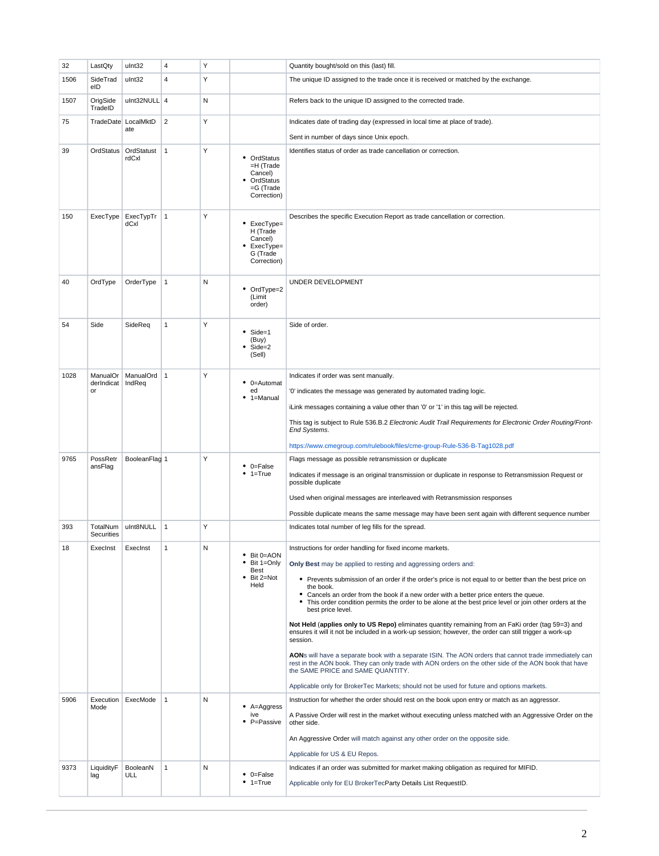| 32   | LastQty                      | ulnt32                     | 4              | Υ |                                                                                | Quantity bought/sold on this (last) fill.                                                                                                                                                                                                                                                                                                                                                                        |
|------|------------------------------|----------------------------|----------------|---|--------------------------------------------------------------------------------|------------------------------------------------------------------------------------------------------------------------------------------------------------------------------------------------------------------------------------------------------------------------------------------------------------------------------------------------------------------------------------------------------------------|
| 1506 | SideTrad<br>eID              | ulnt32                     | 4              | Y |                                                                                | The unique ID assigned to the trade once it is received or matched by the exchange.                                                                                                                                                                                                                                                                                                                              |
| 1507 | OrigSide<br>TradeID          | ulnt32NULL 4               |                | N |                                                                                | Refers back to the unique ID assigned to the corrected trade.                                                                                                                                                                                                                                                                                                                                                    |
| 75   |                              | TradeDate LocalMktD<br>ate | $\overline{2}$ | Υ |                                                                                | Indicates date of trading day (expressed in local time at place of trade).                                                                                                                                                                                                                                                                                                                                       |
|      |                              |                            |                |   |                                                                                | Sent in number of days since Unix epoch.                                                                                                                                                                                                                                                                                                                                                                         |
| 39   | OrdStatus                    | OrdStatust<br>rdCxl        | $\mathbf{1}$   | Υ | • OrdStatus<br>=H (Trade<br>Cancel)<br>OrdStatus<br>$=G$ (Trade<br>Correction) | Identifies status of order as trade cancellation or correction.                                                                                                                                                                                                                                                                                                                                                  |
| 150  | ExecType                     | ExecTypTr<br>dCxl          | $\mathbf{1}$   | Υ | • ExecType=<br>H (Trade<br>Cancel)<br>ExecType=<br>G (Trade<br>Correction)     | Describes the specific Execution Report as trade cancellation or correction.                                                                                                                                                                                                                                                                                                                                     |
| 40   | OrdType                      | OrderType                  | 1              | N | • OrdType=2<br>(Limit<br>order)                                                | UNDER DEVELOPMENT                                                                                                                                                                                                                                                                                                                                                                                                |
| 54   | Side                         | SideReq                    | 1              | Y | Side=1<br>(Buy)<br>Side=2<br>(Sell)                                            | Side of order.                                                                                                                                                                                                                                                                                                                                                                                                   |
| 1028 | ManualOr<br>derIndicat<br>or | ManualOrd 1<br>IndReq      |                | Υ | 0=Automat<br>٠<br>ed<br>1=Manual                                               | Indicates if order was sent manually.<br>'0' indicates the message was generated by automated trading logic.<br>iLink messages containing a value other than '0' or '1' in this tag will be rejected.<br>This tag is subject to Rule 536.B.2 Electronic Audit Trail Requirements for Electronic Order Routing/Front-<br>End Systems.<br>https://www.cmegroup.com/rulebook/files/cme-group-Rule-536-B-Tag1028.pdf |
| 9765 | PossRetr<br>ansFlag          | BooleanFlag 1              |                | Υ | $\bullet$ 0=False<br>$1 = True$                                                | Flags message as possible retransmission or duplicate<br>Indicates if message is an original transmission or duplicate in response to Retransmission Request or<br>possible duplicate                                                                                                                                                                                                                            |
|      |                              |                            |                |   |                                                                                | Used when original messages are interleaved with Retransmission responses                                                                                                                                                                                                                                                                                                                                        |
|      |                              |                            |                |   |                                                                                | Possible duplicate means the same message may have been sent again with different sequence number                                                                                                                                                                                                                                                                                                                |
| 393  | TotalNum<br>Securities       | ulnt8NULL                  | $\vert$ 1      | Υ |                                                                                | Indicates total number of leg fills for the spread.                                                                                                                                                                                                                                                                                                                                                              |
| 18   | Execinst                     | ExecInst                   |                | N | • Bit 0=AON<br>Bit 1=Only<br>Best<br>Bit 2=Not<br>Held                         | Instructions for order handling for fixed income markets.<br>Only Best may be applied to resting and aggressing orders and:                                                                                                                                                                                                                                                                                      |
|      |                              |                            |                |   |                                                                                | • Prevents submission of an order if the order's price is not equal to or better than the best price on                                                                                                                                                                                                                                                                                                          |
|      |                              |                            |                |   |                                                                                | the book.<br>• Cancels an order from the book if a new order with a better price enters the queue.<br>• This order condition permits the order to be alone at the best price level or join other orders at the<br>best price level.                                                                                                                                                                              |
|      |                              |                            |                |   |                                                                                | Not Held (applies only to US Repo) eliminates quantity remaining from an FaKi order (tag 59=3) and<br>ensures it will it not be included in a work-up session; however, the order can still trigger a work-up<br>session.                                                                                                                                                                                        |
|      |                              |                            |                |   |                                                                                | AONs will have a separate book with a separate ISIN. The AON orders that cannot trade immediately can<br>rest in the AON book. They can only trade with AON orders on the other side of the AON book that have<br>the SAME PRICE and SAME QUANTITY.                                                                                                                                                              |
|      |                              |                            |                |   |                                                                                | Applicable only for BrokerTec Markets; should not be used for future and options markets.                                                                                                                                                                                                                                                                                                                        |
| 5906 | Execution<br>Mode            | ExecMode                   | $\mathbf{1}$   | N | $A = \text{Aggress}$<br>ive<br>P=Passive                                       | Instruction for whether the order should rest on the book upon entry or match as an aggressor.<br>A Passive Order will rest in the market without executing unless matched with an Aggressive Order on the<br>other side.                                                                                                                                                                                        |
|      |                              |                            |                |   |                                                                                | An Aggressive Order will match against any other order on the opposite side.                                                                                                                                                                                                                                                                                                                                     |
|      |                              |                            |                |   |                                                                                | Applicable for US & EU Repos.                                                                                                                                                                                                                                                                                                                                                                                    |
| 9373 | LiquidityF<br>lag            | BooleanN<br>ULL            | 1              | N | $\bullet$ 0=False<br>$• 1 = True$                                              | Indicates if an order was submitted for market making obligation as required for MIFID.<br>Applicable only for EU BrokerTecParty Details List RequestID.                                                                                                                                                                                                                                                         |
|      |                              |                            |                |   |                                                                                |                                                                                                                                                                                                                                                                                                                                                                                                                  |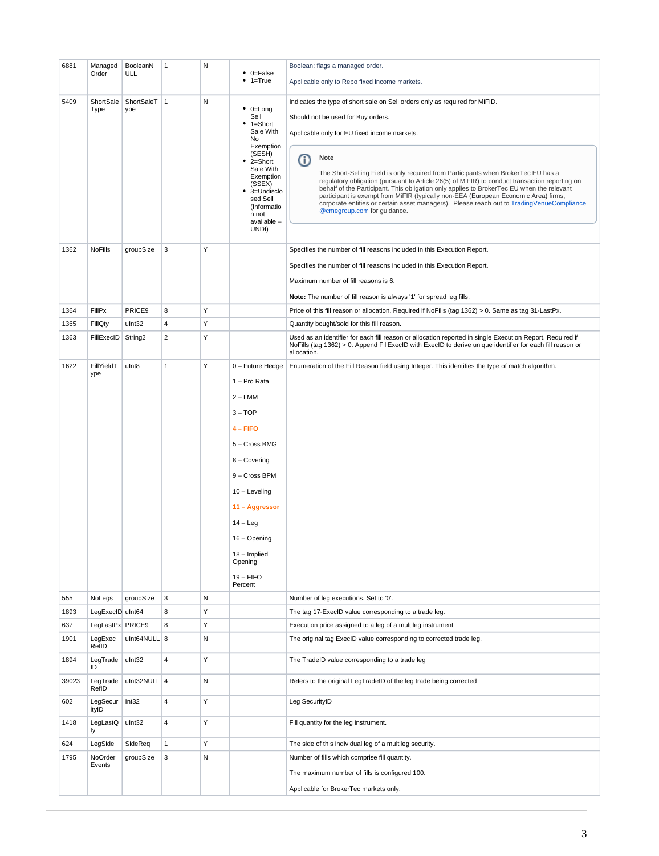| 6881  | Managed<br>Order  | BooleanN<br>ULL     | $\mathbf{1}$   | Ν | $\bullet$ 0=False<br>$• 1 = True$                                                                                                                                                                                                                  | Boolean: flags a managed order.<br>Applicable only to Repo fixed income markets.                                                                                                                                                                                                                                                                                                                                                                                                                                                                                                                                                                                                       |
|-------|-------------------|---------------------|----------------|---|----------------------------------------------------------------------------------------------------------------------------------------------------------------------------------------------------------------------------------------------------|----------------------------------------------------------------------------------------------------------------------------------------------------------------------------------------------------------------------------------------------------------------------------------------------------------------------------------------------------------------------------------------------------------------------------------------------------------------------------------------------------------------------------------------------------------------------------------------------------------------------------------------------------------------------------------------|
| 5409  | ShortSale<br>Type | ShortSaleT<br>ype   | $\mathbf{1}$   | N | $\bullet$ 0=Long<br>Sell<br>1=Short<br>Sale With<br>No<br>Exemption<br>(SESH)<br>2=Short<br>Sale With<br>Exemption<br>(SSEX)<br>3=Undisclo<br>sed Sell<br>(Informatio<br>n not<br>available -<br>UNDI)                                             | Indicates the type of short sale on Sell orders only as required for MiFID.<br>Should not be used for Buy orders.<br>Applicable only for EU fixed income markets.<br>Note<br>Ο<br>The Short-Selling Field is only required from Participants when BrokerTec EU has a<br>regulatory obligation (pursuant to Article 26(5) of MiFIR) to conduct transaction reporting on<br>behalf of the Participant. This obligation only applies to BrokerTec EU when the relevant<br>participant is exempt from MiFIR (typically non-EEA (European Economic Area) firms,<br>corporate entities or certain asset managers). Please reach out to TradingVenueCompliance<br>@cmegroup.com for guidance. |
| 1362  | NoFills           | groupSize           | 3              | Y |                                                                                                                                                                                                                                                    | Specifies the number of fill reasons included in this Execution Report.<br>Specifies the number of fill reasons included in this Execution Report.<br>Maximum number of fill reasons is 6.<br>Note: The number of fill reason is always '1' for spread leg fills.                                                                                                                                                                                                                                                                                                                                                                                                                      |
| 1364  | FillPx            | PRICE9              | 8              | Υ |                                                                                                                                                                                                                                                    | Price of this fill reason or allocation. Required if NoFills (tag 1362) > 0. Same as tag 31-LastPx.                                                                                                                                                                                                                                                                                                                                                                                                                                                                                                                                                                                    |
| 1365  | FillQty           | ulnt32              | 4              | Υ |                                                                                                                                                                                                                                                    | Quantity bought/sold for this fill reason.                                                                                                                                                                                                                                                                                                                                                                                                                                                                                                                                                                                                                                             |
| 1363  | FillExecID        | String <sub>2</sub> | $\overline{2}$ | Y |                                                                                                                                                                                                                                                    | Used as an identifier for each fill reason or allocation reported in single Execution Report. Required if<br>NoFills (tag 1362) > 0. Append FillExecID with ExecID to derive unique identifier for each fill reason or<br>allocation.                                                                                                                                                                                                                                                                                                                                                                                                                                                  |
| 1622  | FillYieldT<br>ype | ulnt8               | $\mathbf{1}$   | Υ | 0 - Future Hedge<br>1 - Pro Rata<br>$2 - LMM$<br>$3 - TOP$<br>$4 -$ FIFO<br>5 - Cross BMG<br>8 - Covering<br>9 - Cross BPM<br>$10 -$ Leveling<br>11 - Aggressor<br>$14 - Leg$<br>16 - Opening<br>18 - Implied<br>Opening<br>$19 - FIFO$<br>Percent | Enumeration of the Fill Reason field using Integer. This identifies the type of match algorithm.                                                                                                                                                                                                                                                                                                                                                                                                                                                                                                                                                                                       |
| 555   | NoLegs            | groupSize           | 3              | N |                                                                                                                                                                                                                                                    | Number of leg executions. Set to '0'.                                                                                                                                                                                                                                                                                                                                                                                                                                                                                                                                                                                                                                                  |
| 1893  | LegExecID uInt64  |                     | 8              | Υ |                                                                                                                                                                                                                                                    | The tag 17-ExecID value corresponding to a trade leg.                                                                                                                                                                                                                                                                                                                                                                                                                                                                                                                                                                                                                                  |
| 637   | LegLastPx PRICE9  |                     | 8              | Υ |                                                                                                                                                                                                                                                    | Execution price assigned to a leg of a multileg instrument                                                                                                                                                                                                                                                                                                                                                                                                                                                                                                                                                                                                                             |
| 1901  | LegExec<br>RefID  | ulnt64NULL 8        |                | N |                                                                                                                                                                                                                                                    | The original tag ExecID value corresponding to corrected trade leg.                                                                                                                                                                                                                                                                                                                                                                                                                                                                                                                                                                                                                    |
| 1894  | LegTrade<br>ID    | ulnt32              | 4              | Υ |                                                                                                                                                                                                                                                    | The TradeID value corresponding to a trade leg                                                                                                                                                                                                                                                                                                                                                                                                                                                                                                                                                                                                                                         |
| 39023 | LegTrade<br>RefID | ulnt32NULL 4        |                | N |                                                                                                                                                                                                                                                    | Refers to the original LegTradeID of the leg trade being corrected                                                                                                                                                                                                                                                                                                                                                                                                                                                                                                                                                                                                                     |
| 602   | LegSecur<br>ityID | Int32               | 4              | Υ |                                                                                                                                                                                                                                                    | Leg SecurityID                                                                                                                                                                                                                                                                                                                                                                                                                                                                                                                                                                                                                                                                         |
| 1418  | LegLastQ<br>ty    | ulnt32              | 4              | Υ |                                                                                                                                                                                                                                                    | Fill quantity for the leg instrument.                                                                                                                                                                                                                                                                                                                                                                                                                                                                                                                                                                                                                                                  |
| 624   | LegSide           | SideReq             | $\mathbf{1}$   | Υ |                                                                                                                                                                                                                                                    | The side of this individual leg of a multileg security.                                                                                                                                                                                                                                                                                                                                                                                                                                                                                                                                                                                                                                |
| 1795  | NoOrder<br>Events | groupSize           | 3              | N |                                                                                                                                                                                                                                                    | Number of fills which comprise fill quantity.<br>The maximum number of fills is configured 100.<br>Applicable for BrokerTec markets only.                                                                                                                                                                                                                                                                                                                                                                                                                                                                                                                                              |